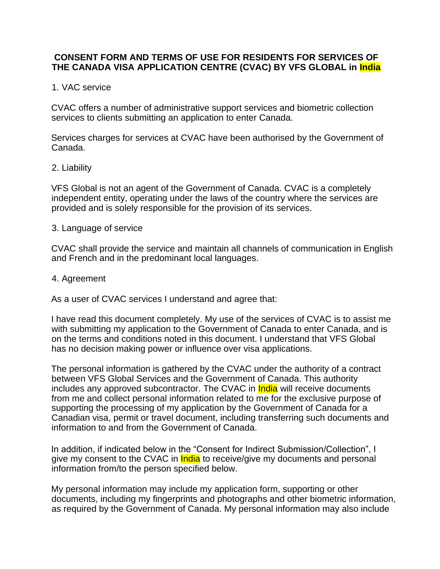## **CONSENT FORM AND TERMS OF USE FOR RESIDENTS FOR SERVICES OF THE CANADA VISA APPLICATION CENTRE (CVAC) BY VFS GLOBAL in India**

## 1. VAC service

CVAC offers a number of administrative support services and biometric collection services to clients submitting an application to enter Canada.

Services charges for services at CVAC have been authorised by the Government of Canada.

#### 2. Liability

VFS Global is not an agent of the Government of Canada. CVAC is a completely independent entity, operating under the laws of the country where the services are provided and is solely responsible for the provision of its services.

#### 3. Language of service

CVAC shall provide the service and maintain all channels of communication in English and French and in the predominant local languages.

#### 4. Agreement

As a user of CVAC services I understand and agree that:

I have read this document completely. My use of the services of CVAC is to assist me with submitting my application to the Government of Canada to enter Canada, and is on the terms and conditions noted in this document. I understand that VFS Global has no decision making power or influence over visa applications.

The personal information is gathered by the CVAC under the authority of a contract between VFS Global Services and the Government of Canada. This authority includes any approved subcontractor. The CVAC in **India** will receive documents from me and collect personal information related to me for the exclusive purpose of supporting the processing of my application by the Government of Canada for a Canadian visa, permit or travel document, including transferring such documents and information to and from the Government of Canada.

In addition, if indicated below in the "Consent for Indirect Submission/Collection", I give my consent to the CVAC in **India** to receive/give my documents and personal information from/to the person specified below.

My personal information may include my application form, supporting or other documents, including my fingerprints and photographs and other biometric information, as required by the Government of Canada. My personal information may also include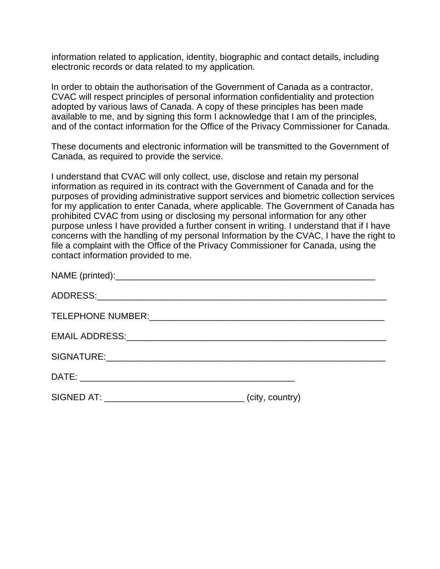information related to application, identity, biographic and contact details, including electronic records or data related to my application.

In order to obtain the authorisation of the Government of Canada as a contractor, CVAC will respect principles of personal information confidentiality and protection adopted by various laws of Canada. A copy of these principles has been made available to me, and by signing this form I acknowledge that I am of the principles, and of the contact information for the Office of the Privacy Commissioner for Canada.

These documents and electronic information will be transmitted to the Government of Canada, as required to provide the service.

I understand that CVAC will only collect, use, disclose and retain my personal information as required in its contract with the Government of Canada and for the purposes of providing administrative support services and biometric collection services for my application to enter Canada, where applicable. The Government of Canada has prohibited CVAC from using or disclosing my personal information for any other purpose unless I have provided a further consent in writing. I understand that if I have concerns with the handling of my personal Information by the CVAC, I have the right to file a complaint with the Office of the Privacy Commissioner for Canada, using the contact information provided to me.

| SIGNED AT: __________________________________ | (city, country) |
|-----------------------------------------------|-----------------|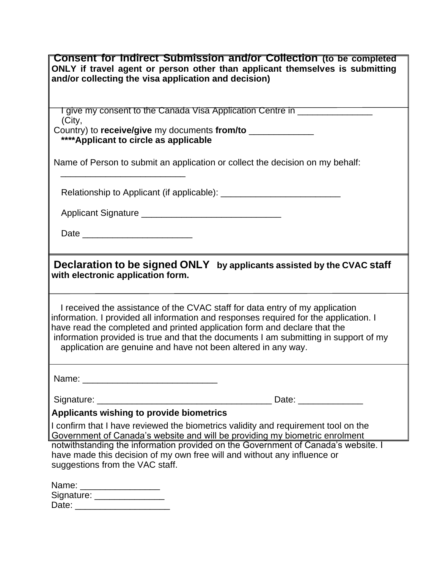| Consent for indirect Submission and/or Collection (to be completed<br>ONLY if travel agent or person other than applicant themselves is submitting<br>and/or collecting the visa application and decision)                                                                                                                                                                                                  |
|-------------------------------------------------------------------------------------------------------------------------------------------------------------------------------------------------------------------------------------------------------------------------------------------------------------------------------------------------------------------------------------------------------------|
| I give my consent to the Canada Visa Application Centre in ______<br>(City,<br>Country) to receive/give my documents from/to _____________<br>****Applicant to circle as applicable                                                                                                                                                                                                                         |
| Name of Person to submit an application or collect the decision on my behalf:                                                                                                                                                                                                                                                                                                                               |
|                                                                                                                                                                                                                                                                                                                                                                                                             |
|                                                                                                                                                                                                                                                                                                                                                                                                             |
|                                                                                                                                                                                                                                                                                                                                                                                                             |
| Declaration to be signed ONLY<br>by applicants assisted by the CVAC staff<br>with electronic application form.                                                                                                                                                                                                                                                                                              |
| I received the assistance of the CVAC staff for data entry of my application<br>information. I provided all information and responses required for the application. I<br>have read the completed and printed application form and declare that the<br>information provided is true and that the documents I am submitting in support of my<br>application are genuine and have not been altered in any way. |
|                                                                                                                                                                                                                                                                                                                                                                                                             |
|                                                                                                                                                                                                                                                                                                                                                                                                             |
| Applicants wishing to provide biometrics                                                                                                                                                                                                                                                                                                                                                                    |
| I confirm that I have reviewed the biometrics validity and requirement tool on the                                                                                                                                                                                                                                                                                                                          |
| Government of Canada's website and will be providing my biometric enrolment<br>notwithstanding the information provided on the Government of Canada's website. I<br>have made this decision of my own free will and without any influence or<br>suggestions from the VAC staff.                                                                                                                             |
| Name: __________________<br>Signature: Signature: Signature: Signature: Signature: Signature: Signature: Signature: Signature: Signature:                                                                                                                                                                                                                                                                   |

|       | _____ |  |  |
|-------|-------|--|--|
| Date: |       |  |  |
|       |       |  |  |